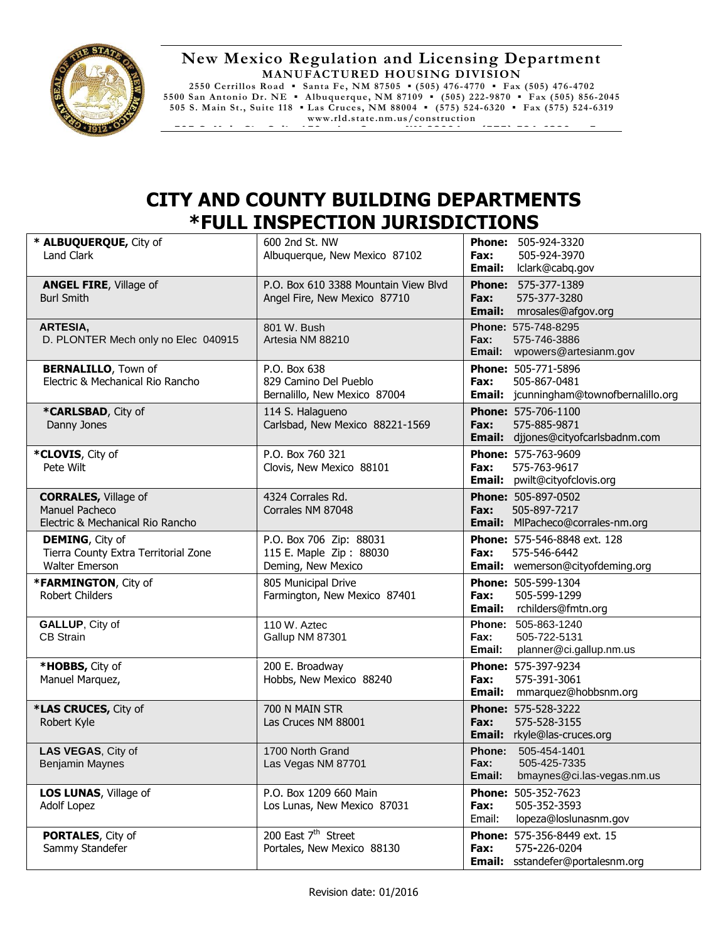

## **New Mexico Regulation and Licensing Department MANUFACTURED HOUSING DIVISION**

**2550 Cerrillos Road ▪ Santa Fe, NM 87505 ▪ (505) 476-4770 ▪ Fax (505) 476-4702 5500 San Antonio Dr. NE ▪ Albuquerque, NM 871 09 ▪ (505) 222-9870 ▪ Fax (505) 856-2045 505 S. Main St., Suite 118 ▪ Las Cruces, NM 88004 ▪ (575) 524-6320 ▪ Fax (575) 524-6319 www.rld.state.nm.us/construction**

**505 S. Main St., Suite 150 ▪ Las Cruces, NM 88004 ▪ (575) 524-6320 ▪ Fax** 

## **CITY AND COUNTY BUILDING DEPARTMENTS \*FULL INSPECTION JURISDICTIONS**

| * ALBUQUERQUE, City of<br>Land Clark                                              | 600 2nd St. NW<br>Albuquerque, New Mexico 87102                          | Phone: 505-924-3320<br>Fax:<br>505-924-3970<br>Email:<br>lclark@cabq.gov                              |
|-----------------------------------------------------------------------------------|--------------------------------------------------------------------------|-------------------------------------------------------------------------------------------------------|
| <b>ANGEL FIRE, Village of</b><br><b>Burl Smith</b>                                | P.O. Box 610 3388 Mountain View Blvd<br>Angel Fire, New Mexico 87710     | Phone: 575-377-1389<br>Fax:<br>575-377-3280<br>Email:<br>mrosales@afgov.org                           |
| ARTESIA,<br>D. PLONTER Mech only no Elec 040915                                   | 801 W. Bush<br>Artesia NM 88210                                          | Phone: 575-748-8295<br><b>Fax:</b><br>575-746-3886<br>Email: wpowers@artesianm.gov                    |
| <b>BERNALILLO, Town of</b><br>Electric & Mechanical Rio Rancho                    | P.O. Box 638<br>829 Camino Del Pueblo<br>Bernalillo, New Mexico 87004    | Phone: 505-771-5896<br>505-867-0481<br>Fax:<br>Email: jcunningham@townofbernalillo.org                |
| *CARLSBAD, City of<br>Danny Jones                                                 | 114 S. Halagueno<br>Carlsbad, New Mexico 88221-1569                      | Phone: 575-706-1100<br>575-885-9871<br>Fax:<br>Email: djjones@cityofcarlsbadnm.com                    |
| *CLOVIS, City of<br>Pete Wilt                                                     | P.O. Box 760 321<br>Clovis, New Mexico 88101                             | Phone: 575-763-9609<br>Fax:<br>575-763-9617<br><b>Email:</b> pwilt@cityofclovis.org                   |
| <b>CORRALES, Village of</b><br>Manuel Pacheco<br>Electric & Mechanical Rio Rancho | 4324 Corrales Rd.<br>Corrales NM 87048                                   | Phone: 505-897-0502<br>Fax:<br>505-897-7217<br>Email: MIPacheco@corrales-nm.org                       |
| <b>DEMING, City of</b><br>Tierra County Extra Territorial Zone<br>Walter Emerson  | P.O. Box 706 Zip: 88031<br>115 E. Maple Zip: 88030<br>Deming, New Mexico | Phone: 575-546-8848 ext. 128<br>575-546-6442<br>Fax:<br><b>Email:</b> wemerson@cityofdeming.org       |
| *FARMINGTON, City of<br>Robert Childers                                           | 805 Municipal Drive<br>Farmington, New Mexico 87401                      | Phone: 505-599-1304<br>505-599-1299<br>Fax:<br>rchilders@fmtn.org<br>Email:                           |
| <b>GALLUP, City of</b><br><b>CB Strain</b>                                        | 110 W. Aztec<br>Gallup NM 87301                                          | Phone: 505-863-1240<br>Fax:<br>505-722-5131<br>Email:<br>planner@ci.gallup.nm.us                      |
| *HOBBS, City of<br>Manuel Marquez,                                                | 200 E. Broadway<br>Hobbs, New Mexico 88240                               | Phone: 575-397-9234<br>575-391-3061<br>Fax:<br><b>Email:</b> mmarquez@hobbsnm.org                     |
| *LAS CRUCES, City of<br>Robert Kyle                                               | 700 N MAIN STR<br>Las Cruces NM 88001                                    | <b>Phone: 575-528-3222</b><br>Fax:<br>575-528-3155<br><b>Email:</b> rkyle@las-cruces.org              |
| LAS VEGAS, City of<br>Benjamin Maynes                                             | 1700 North Grand<br>Las Vegas NM 87701                                   | Phone: 505-454-1401<br>Fax:<br>505-425-7335<br>bmaynes@ci.las-vegas.nm.us<br>Email:                   |
| <b>LOS LUNAS, Village of</b><br>Adolf Lopez                                       | P.O. Box 1209 660 Main<br>Los Lunas, New Mexico 87031                    | <b>Phone: 505-352-7623</b><br>505-352-3593<br>Fax:<br>Email:<br>lopeza@loslunasnm.gov                 |
| <b>PORTALES, City of</b><br>Sammy Standefer                                       | 200 East 7 <sup>th</sup> Street<br>Portales, New Mexico 88130            | <b>Phone:</b> 575-356-8449 ext. 15<br>575-226-0204<br>Fax:<br><b>Email:</b> sstandefer@portalesnm.org |